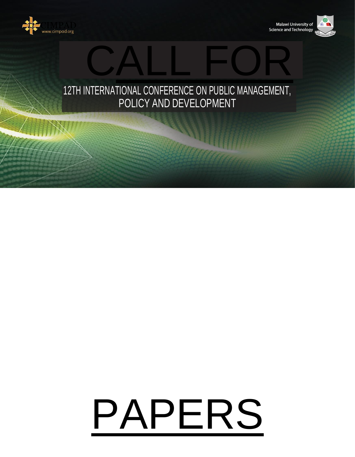





# PAPERS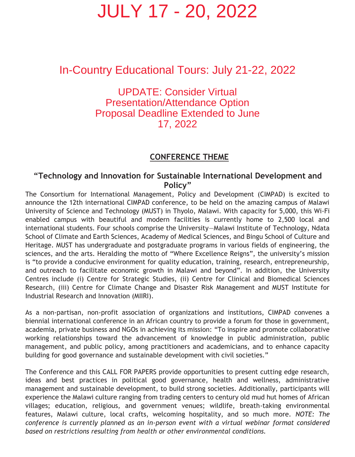# JULY 17 - 20, 2022

# In-Country Educational Tours: July 21-22, 2022

UPDATE: Consider Virtual Presentation/Attendance Option Proposal Deadline Extended to June 17, 2022

#### **CONFERENCE THEME**

### **"Technology and Innovation for Sustainable International Development and Policy"**

The Consortium for International Management, Policy and Development (CIMPAD) is excited to announce the 12th international CIMPAD conference, to be held on the amazing campus of Malawi University of Science and Technology (MUST) in Thyolo, Malawi. With capacity for 5,000, this Wi-Fi enabled campus with beautiful and modern facilities is currently home to 2,500 local and international students. Four schools comprise the University—Malawi Institute of Technology, Ndata School of Climate and Earth Sciences, Academy of Medical Sciences, and Bingu School of Culture and Heritage. MUST has undergraduate and postgraduate programs in various fields of engineering, the sciences, and the arts. Heralding the motto of "Where Excellence Reigns", the university's mission is "to provide a conducive environment for quality education, training, research, entrepreneurship, and outreach to facilitate economic growth in Malawi and beyond". In addition, the University Centres include (i) Centre for Strategic Studies, (ii) Centre for Clinical and Biomedical Sciences Research, (iii) Centre for Climate Change and Disaster Risk Management and MUST Institute for Industrial Research and Innovation (MIIRI).

As a non-partisan, non-profit association of organizations and institutions, CIMPAD convenes a biennial international conference in an African country to provide a forum for those in government, academia, private business and NGOs in achieving its mission: "To inspire and promote collaborative working relationships toward the advancement of knowledge in public administration, public management, and public policy, among practitioners and academicians, and to enhance capacity building for good governance and sustainable development with civil societies."

The Conference and this CALL FOR PAPERS provide opportunities to present cutting edge research, ideas and best practices in political good governance, health and wellness, administrative management and sustainable development, to build strong societies. Additionally, participants will experience the Malawi culture ranging from trading centers to century old mud hut homes of African villages; education, religious, and government venues; wildlife, breath-taking environmental features, Malawi culture, local crafts, welcoming hospitality, and so much more. *NOTE: The conference is currently planned as an in-person event with a virtual webinar format considered based on restrictions resulting from health or other environmental conditions.*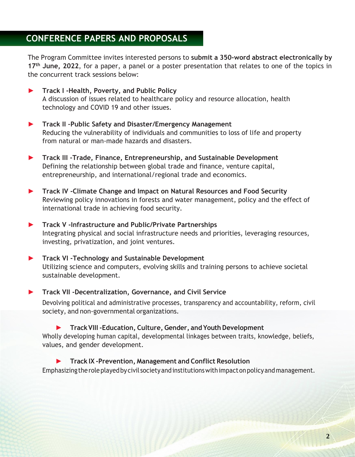# **CONFERENCE PAPERS AND PROPOSALS**

The Program Committee invites interested persons to **submit a 350-word abstract electronically by 17th June, 2022**, for a paper, a panel or a poster presentation that relates to one of the topics in the concurrent track sessions below:

- ► **Track I -Health, Poverty, and Public Policy** A discussion of issues related to healthcare policy and resource allocation, health technology and COVID 19 and other issues.
- ► **Track II –Public Safety and Disaster/Emergency Management** Reducing the vulnerability of individuals and communities to loss of life and property from natural or man-made hazards and disasters.
- ► **Track III -Trade, Finance, Entrepreneurship, and Sustainable Development** Defining the relationship between global trade and finance, venture capital, entrepreneurship, and international/regional trade and economics.
- ► **Track IV -Climate Change and Impact on Natural Resources and Food Security** Reviewing policy innovations in forests and water management, policy and the effect of international trade in achieving food security.
- ► **Track V -Infrastructure and Public/Private Partnerships** Integrating physical and social infrastructure needs and priorities, leveraging resources, investing, privatization, and joint ventures.
- ► **Track VI -Technology and Sustainable Development** Utilizing science and computers, evolving skills and training persons to achieve societal sustainable development.
- ► **Track VII -Decentralization, Governance, and Civil Service** Devolving political and administrative processes, transparency and accountability, reform, civil society, and non-governmental organizations.
	- ► **TrackVIII -Education, Culture, Gender, andYouthDevelopment** Wholly developing human capital, developmental linkages between traits, knowledge, beliefs, values, and gender development.
	- ► **Track IX -Prevention, Management and Conflict Resolution** Emphasizing the role played by civil society and institutions with impact on policy and management.